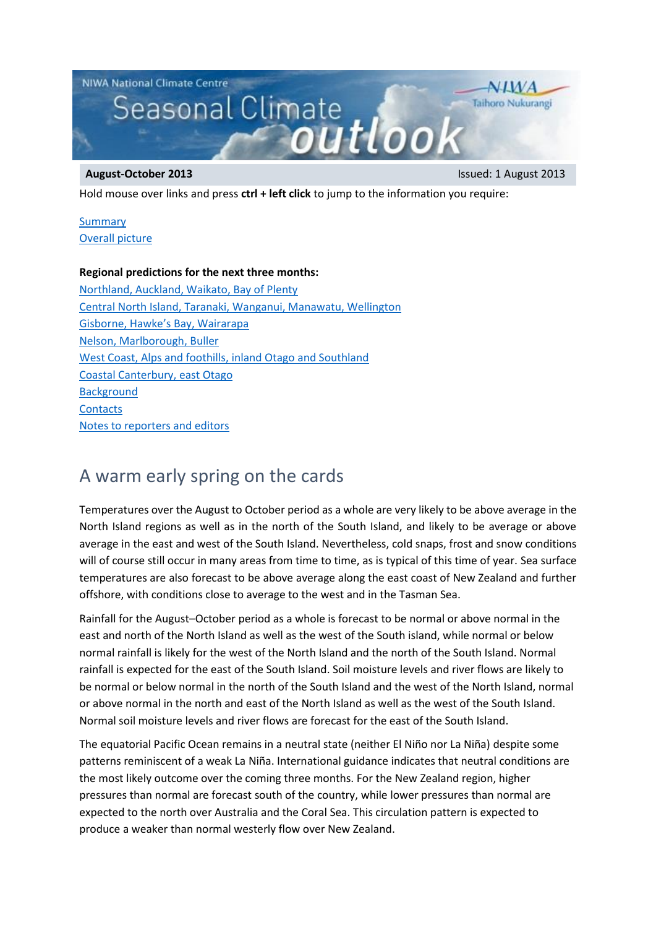

Hold mouse over links and press **ctrl + left click** to jump to the information you require:

#### **[Summary](#page-0-0)** [Overall picture](#page-0-1)

### **Regional predictions for the next three months:**

[Northland, Auckland, Waikato, Bay of Plenty](#page-1-0) [Central North Island, Taranaki, Wanganui, Manawatu, Wellington](#page-1-1) [Gisborne, Hawke's Bay, Wairarapa](#page-2-0) [Nelson, Marlborough, Buller](#page-2-1) [West Coast, Alps and foothills, inland Otago](#page-3-0) and Southland [Coastal Canterbury, east Otago](#page-3-1) **[Background](#page-4-0) [Contacts](#page-4-1)** [Notes to reporters and editors](#page-5-0)

# <span id="page-0-0"></span>A warm early spring on the cards

Temperatures over the August to October period as a whole are very likely to be above average in the North Island regions as well as in the north of the South Island, and likely to be average or above average in the east and west of the South Island. Nevertheless, cold snaps, frost and snow conditions will of course still occur in many areas from time to time, as is typical of this time of year. Sea surface temperatures are also forecast to be above average along the east coast of New Zealand and further offshore, with conditions close to average to the west and in the Tasman Sea.

Rainfall for the August–October period as a whole is forecast to be normal or above normal in the east and north of the North Island as well as the west of the South island, while normal or below normal rainfall is likely for the west of the North Island and the north of the South Island. Normal rainfall is expected for the east of the South Island. Soil moisture levels and river flows are likely to be normal or below normal in the north of the South Island and the west of the North Island, normal or above normal in the north and east of the North Island as well as the west of the South Island. Normal soil moisture levels and river flows are forecast for the east of the South Island.

<span id="page-0-1"></span>The equatorial Pacific Ocean remains in a neutral state (neither El Niño nor La Niña) despite some patterns reminiscent of a weak La Niña. International guidance indicates that neutral conditions are the most likely outcome over the coming three months. For the New Zealand region, higher pressures than normal are forecast south of the country, while lower pressures than normal are expected to the north over Australia and the Coral Sea. This circulation pattern is expected to produce a weaker than normal westerly flow over New Zealand.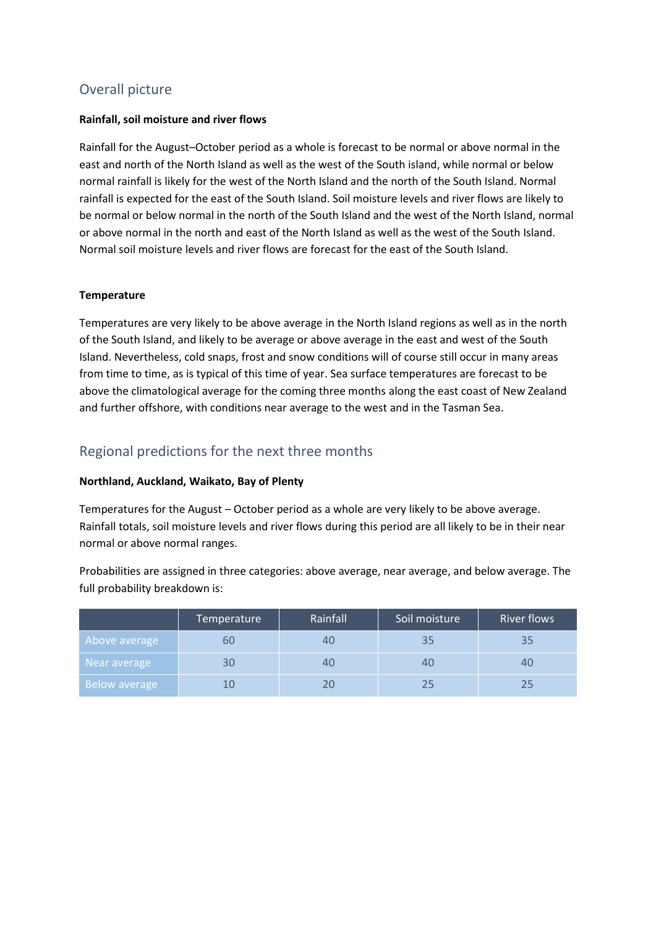## Overall picture

#### **Rainfall, soil moisture and river flows**

Rainfall for the August–October period as a whole is forecast to be normal or above normal in the east and north of the North Island as well as the west of the South island, while normal or below normal rainfall is likely for the west of the North Island and the north of the South Island. Normal rainfall is expected for the east of the South Island. Soil moisture levels and river flows are likely to be normal or below normal in the north of the South Island and the west of the North Island, normal or above normal in the north and east of the North Island as well as the west of the South Island. Normal soil moisture levels and river flows are forecast for the east of the South Island.

#### **Temperature**

Temperatures are very likely to be above average in the North Island regions as well as in the north of the South Island, and likely to be average or above average in the east and west of the South Island. Nevertheless, cold snaps, frost and snow conditions will of course still occur in many areas from time to time, as is typical of this time of year. Sea surface temperatures are forecast to be above the climatological average for the coming three months along the east coast of New Zealand and further offshore, with conditions near average to the west and in the Tasman Sea.

## Regional predictions for the next three months

#### <span id="page-1-0"></span>**Northland, Auckland, Waikato, Bay of Plenty**

Temperatures for the August – October period as a whole are very likely to be above average. Rainfall totals, soil moisture levels and river flows during this period are all likely to be in their near normal or above normal ranges.

Probabilities are assigned in three categories: above average, near average, and below average. The full probability breakdown is:

<span id="page-1-1"></span>

|               | Temperature | Rainfall | Soil moisture | <b>River flows</b> |
|---------------|-------------|----------|---------------|--------------------|
| Above average | ou          |          | 35            |                    |
| 'Near average |             |          | 40            |                    |
| Below average |             |          | ノト            |                    |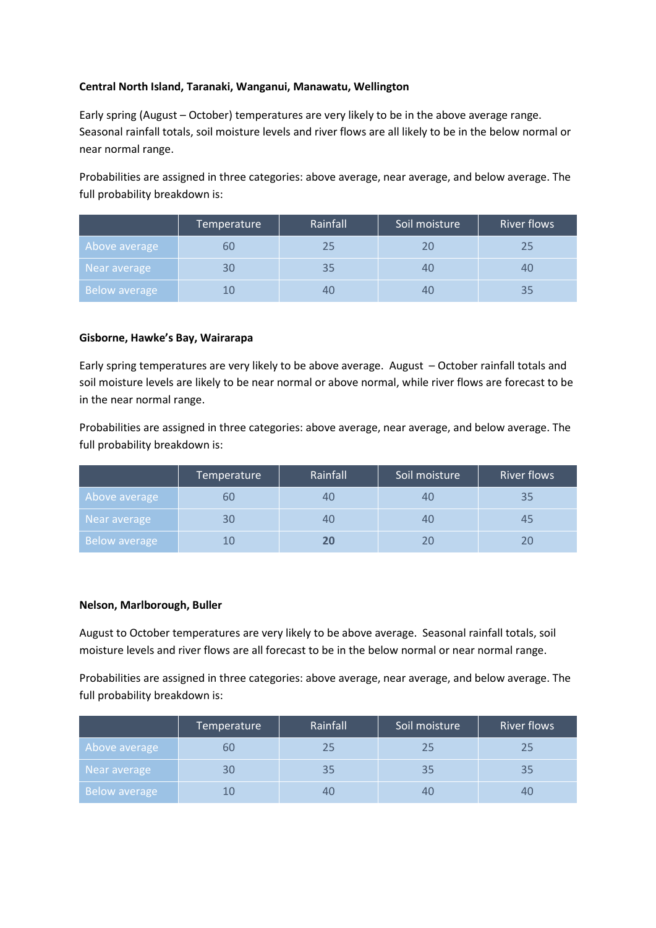#### **Central North Island, Taranaki, Wanganui, Manawatu, Wellington**

Early spring (August – October) temperatures are very likely to be in the above average range. Seasonal rainfall totals, soil moisture levels and river flows are all likely to be in the below normal or near normal range.

Probabilities are assigned in three categories: above average, near average, and below average. The full probability breakdown is:

|                      | Temperature | Rainfall | Soil moisture | <b>River flows</b> |
|----------------------|-------------|----------|---------------|--------------------|
| Above average        | bU          | フら       | 20            |                    |
| Near average         | 30          | 35       | 40            | 40                 |
| <b>Below average</b> |             |          | 40            |                    |

#### <span id="page-2-0"></span>**Gisborne, Hawke's Bay, Wairarapa**

Early spring temperatures are very likely to be above average. August – October rainfall totals and soil moisture levels are likely to be near normal or above normal, while river flows are forecast to be in the near normal range.

Probabilities are assigned in three categories: above average, near average, and below average. The full probability breakdown is:

|                      | Temperature | Rainfall | Soil moisture | River flows |
|----------------------|-------------|----------|---------------|-------------|
| Above average        | bU          |          |               |             |
| Near average         | 30          |          | 4U            |             |
| <b>Below average</b> |             |          |               |             |

#### <span id="page-2-1"></span>**Nelson, Marlborough, Buller**

August to October temperatures are very likely to be above average. Seasonal rainfall totals, soil moisture levels and river flows are all forecast to be in the below normal or near normal range.

Probabilities are assigned in three categories: above average, near average, and below average. The full probability breakdown is:

|               | Temperature | Rainfall | Soil moisture | <b>River flows</b> |
|---------------|-------------|----------|---------------|--------------------|
| Above average | ьu          | 25       | 25            |                    |
| Near average  | 30          | 35       | 35            |                    |
| Below average |             |          | 40            |                    |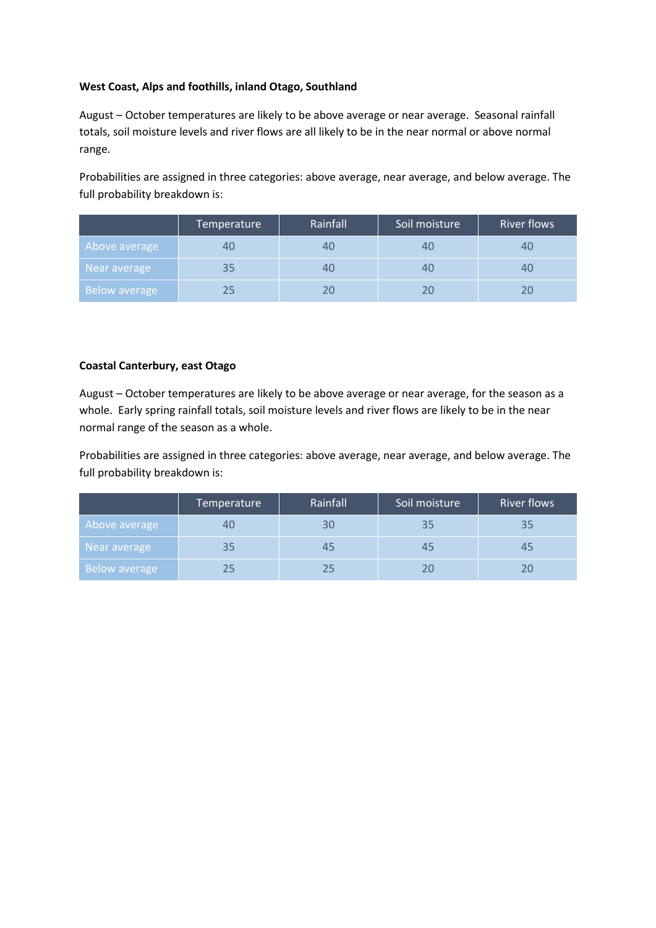#### <span id="page-3-0"></span>**West Coast, Alps and foothills, inland Otago, Southland**

August – October temperatures are likely to be above average or near average. Seasonal rainfall totals, soil moisture levels and river flows are all likely to be in the near normal or above normal range.

Probabilities are assigned in three categories: above average, near average, and below average. The full probability breakdown is:

|                      | Temperature    | Rainfall | Soil moisture | <b>River flows</b> |
|----------------------|----------------|----------|---------------|--------------------|
| Above average        | 4 <sub>C</sub> |          | 4L            |                    |
| Near average         | 35             |          | 4U            | 40                 |
| <b>Below average</b> | 25             |          |               |                    |

#### <span id="page-3-1"></span>**Coastal Canterbury, east Otago**

August – October temperatures are likely to be above average or near average, for the season as a whole. Early spring rainfall totals, soil moisture levels and river flows are likely to be in the near normal range of the season as a whole.

Probabilities are assigned in three categories: above average, near average, and below average. The full probability breakdown is:

|               | Temperature | Rainfall | Soil moisture | <b>River flows</b> |
|---------------|-------------|----------|---------------|--------------------|
| Above average | 4U          |          | 35            |                    |
| Near average  | 35          |          |               |                    |
| Below average | 25          |          |               |                    |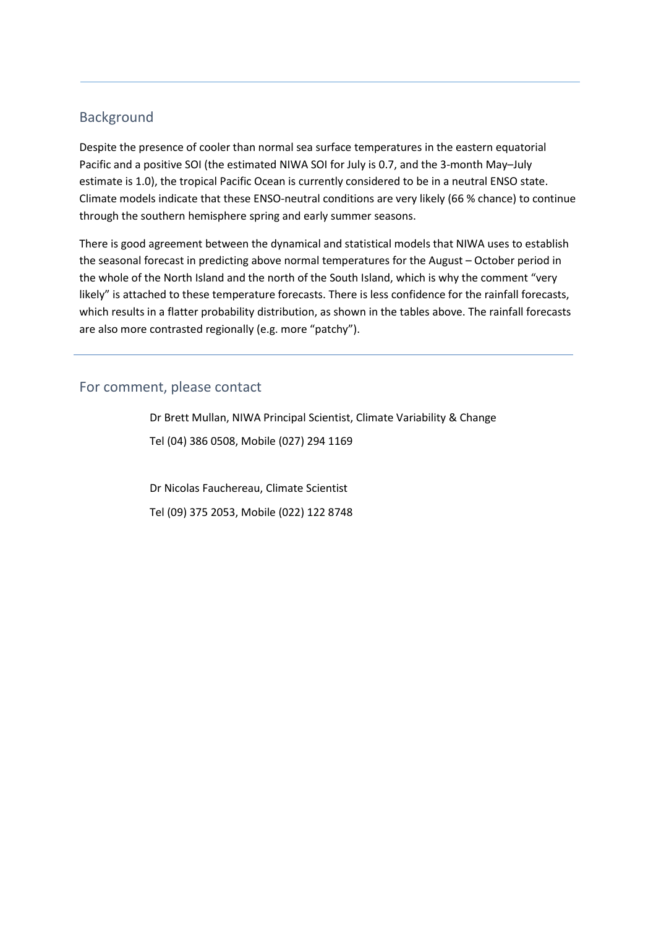## <span id="page-4-0"></span>Background

Despite the presence of cooler than normal sea surface temperatures in the eastern equatorial Pacific and a positive SOI (the estimated NIWA SOI for July is 0.7, and the 3-month May–July estimate is 1.0), the tropical Pacific Ocean is currently considered to be in a neutral ENSO state. Climate models indicate that these ENSO-neutral conditions are very likely (66 % chance) to continue through the southern hemisphere spring and early summer seasons.

There is good agreement between the dynamical and statistical models that NIWA uses to establish the seasonal forecast in predicting above normal temperatures for the August – October period in the whole of the North Island and the north of the South Island, which is why the comment "very likely" is attached to these temperature forecasts. There is less confidence for the rainfall forecasts, which results in a flatter probability distribution, as shown in the tables above. The rainfall forecasts are also more contrasted regionally (e.g. more "patchy").

## <span id="page-4-1"></span>For comment, please contact

Dr Brett Mullan, NIWA Principal Scientist, Climate Variability & Change Tel (04) 386 0508, Mobile (027) 294 1169

Dr Nicolas Fauchereau, Climate Scientist Tel (09) 375 2053, Mobile (022) 122 8748